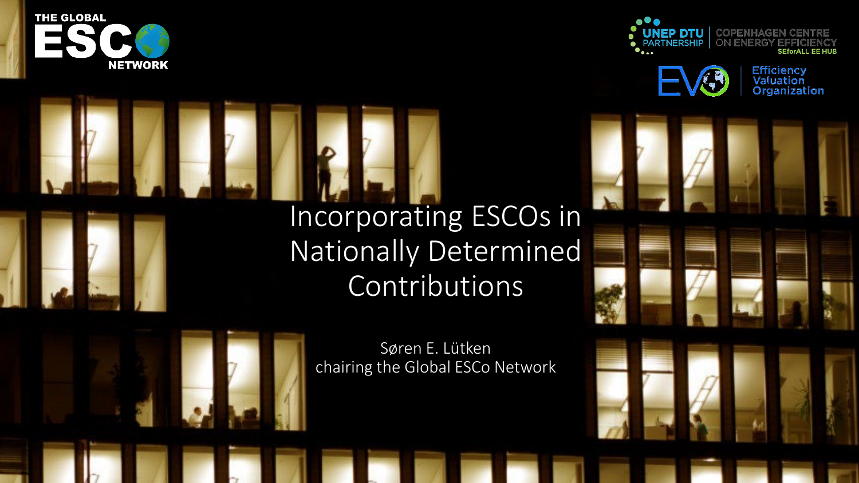**THE GLOBAL NETWORK** 



**Efficiency<br>Valuation<br>Organization** 

# Incorporating ESCOs in Nationally Determined Contributions



Søren E. Lütken chairing the Global ESCo Network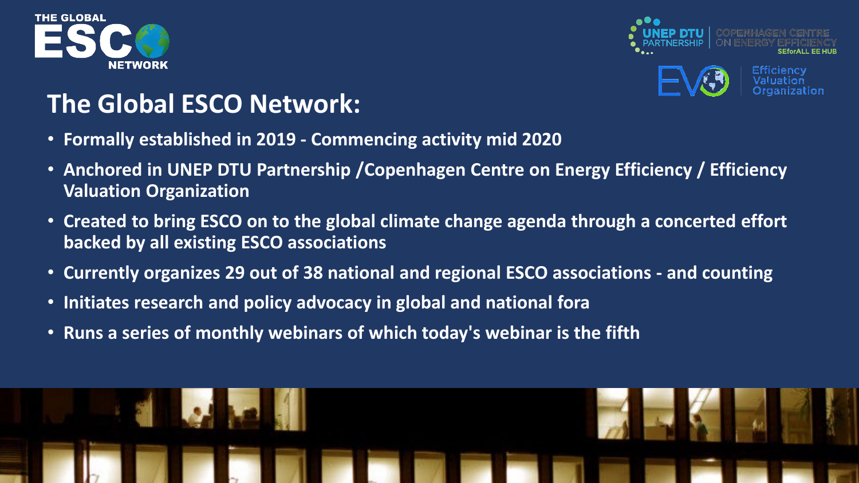



# **The Global ESCO Network:**

- **Formally established in 2019 - Commencing activity mid 2020**
- **Anchored in UNEP DTU Partnership /Copenhagen Centre on Energy Efficiency / Efficiency Valuation Organization**
- **Created to bring ESCO on to the global climate change agenda through a concerted effort backed by all existing ESCO associations**
- **Currently organizes 29 out of 38 national and regional ESCO associations - and counting**
- **Initiates research and policy advocacy in global and national fora**
- **Runs a series of monthly webinars of which today's webinar is the fifth**

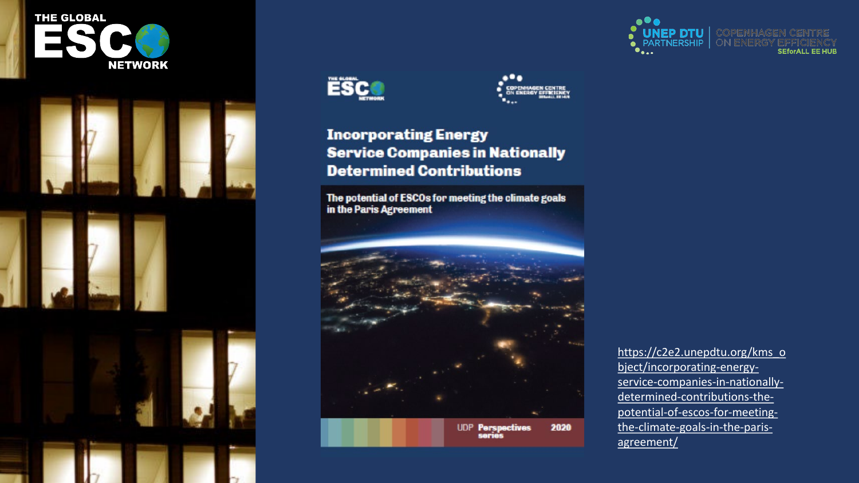





... COPENHAGEN CENTRE<br>ON ENERGY EFFICIENCY

#### **Incorporating Energy Service Companies in Nationally Determined Contributions**

The potential of ESCOs for meeting the climate goals in the Paris Agreement



https://c2e2.unepdtu.org/kms\_o bject/incorporating-energyservice-companies-in-nationallydetermined-contributions-thepotential-of-escos-for-meetingthe-climate-goals-in-the-parisagreement/

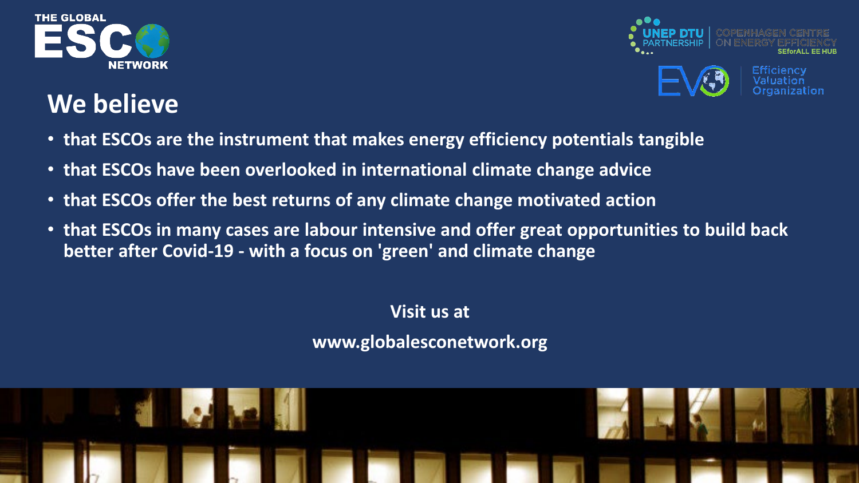



# **We believe**

- **that ESCOs are the instrument that makes energy efficiency potentials tangible**
- **that ESCOs have been overlooked in international climate change advice**
- **that ESCOs offer the best returns of any climate change motivated action**
- **that ESCOs in many cases are labour intensive and offer great opportunities to build back better after Covid-19 - with a focus on 'green' and climate change**

**Visit us at** 

**www.globalesconetwork.org**

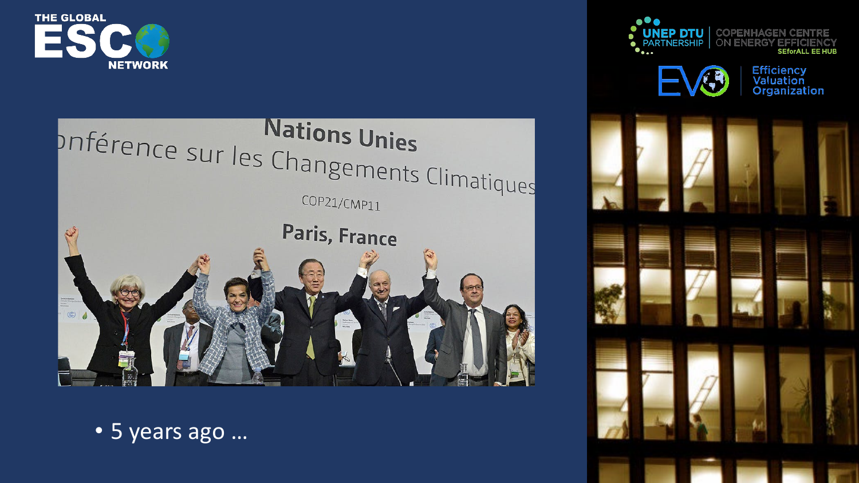



• 5 years ago …





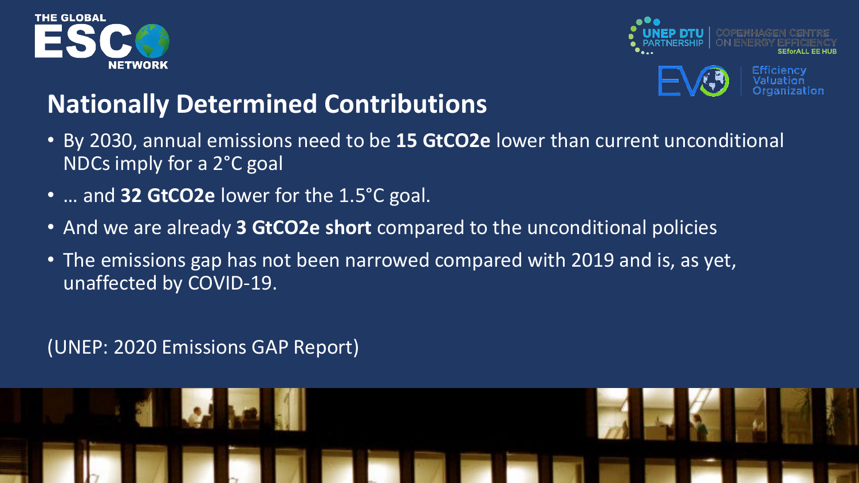



# **Nationally Determined Contributions**

- By 2030, annual emissions need to be **15 GtCO2e** lower than current unconditional NDCs imply for a 2°C goal
- … and **32 GtCO2e** lower for the 1.5°C goal.
- And we are already **3 GtCO2e short** compared to the unconditional policies
- The emissions gap has not been narrowed compared with 2019 and is, as yet, unaffected by COVID-19.

#### (UNEP: 2020 Emissions GAP Report)

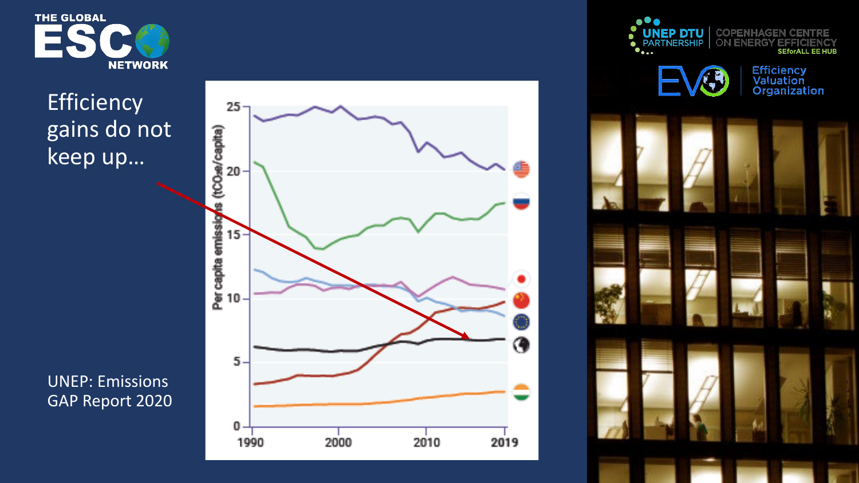

### **Efficiency** gains do not keep up…





UNEP: Emissions GAP Report 2020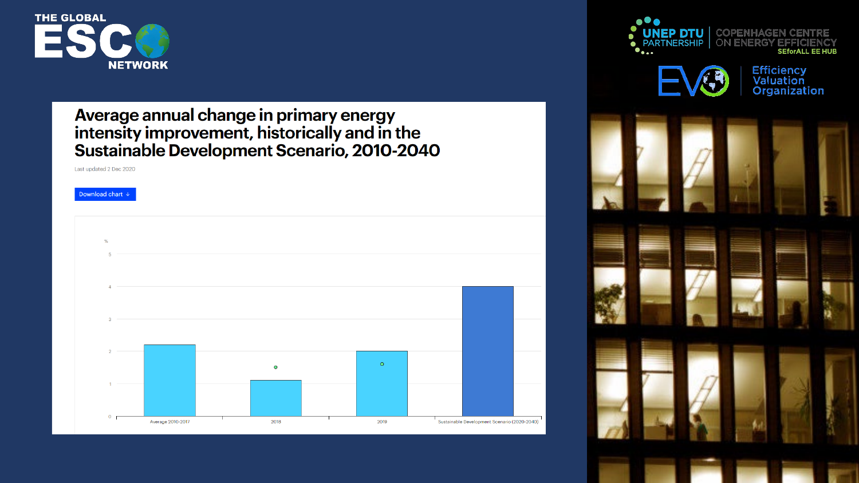![](_page_7_Picture_0.jpeg)

# Average annual change in primary energy<br>intensity improvement, historically and in the<br>Sustainable Development Scenario, 2010-2040

Last updated 2 Dec 2020

![](_page_7_Figure_3.jpeg)

**UNEP DTU** COPENHAGEN ON ENERGY  $\bullet$  $\bullet \bullet \bullet \bullet \bullet$ **SEforALL EE HUB Efficiency<br>Valuation<br>Organization**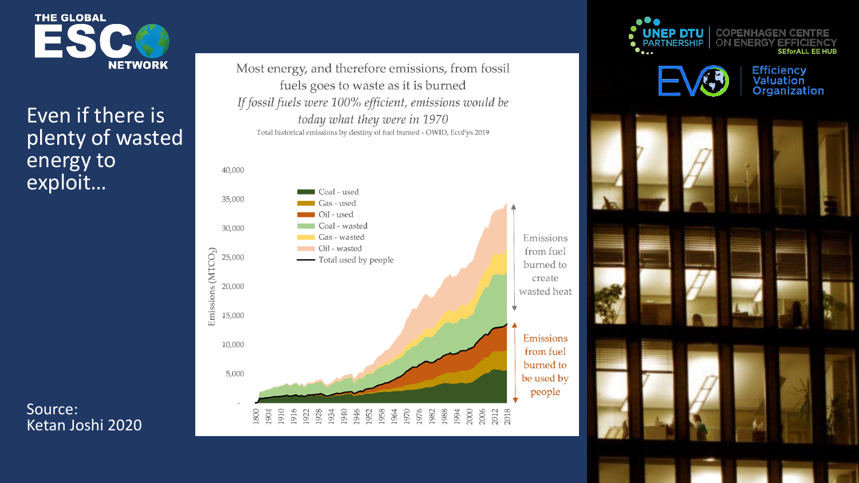![](_page_8_Picture_0.jpeg)

#### Even if there is plenty of wasted energy to exploit…

Source: Ketan Joshi 2020 Most energy, and therefore emissions, from fossil fuels goes to waste as it is burned If fossil fuels were 100% efficient, emissions would be today what they were in 1970 Total historical emissions by destiny of fuel burned - OWID, EcoFys 2019

![](_page_8_Figure_4.jpeg)

![](_page_8_Picture_5.jpeg)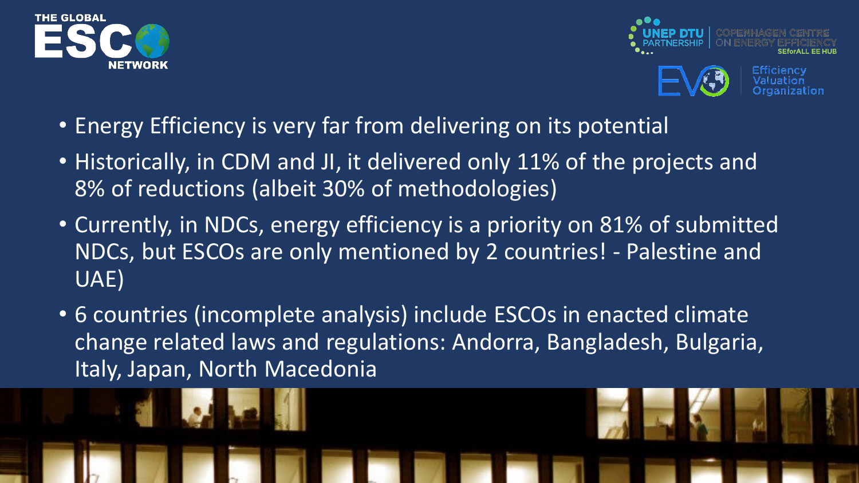![](_page_9_Picture_0.jpeg)

![](_page_9_Picture_1.jpeg)

- Energy Efficiency is very far from delivering on its potential
- Historically, in CDM and JI, it delivered only 11% of the projects and 8% of reductions (albeit 30% of methodologies)
- Currently, in NDCs, energy efficiency is a priority on 81% of submitted NDCs, but ESCOs are only mentioned by 2 countries! - Palestine and UAE)
- 6 countries (incomplete analysis) include ESCOs in enacted climate change related laws and regulations: Andorra, Bangladesh, Bulgaria, Italy, Japan, North Macedonia

![](_page_9_Picture_6.jpeg)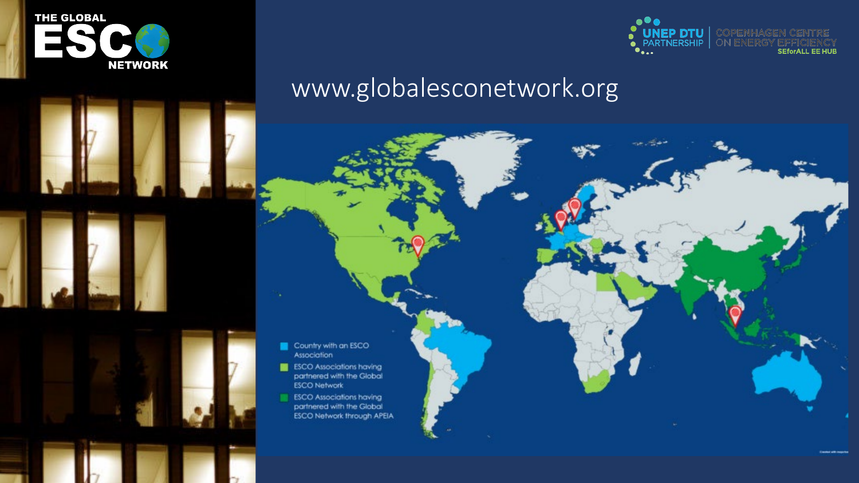![](_page_10_Picture_0.jpeg)

![](_page_10_Picture_1.jpeg)

## www.globalesconetwork.org

- Country with an ESCO Association
- **ESCO** Associations having partnered with the Global **ESCO Network**
- **ESCO Associations having** partnered with the Global ESCO Network through APEIA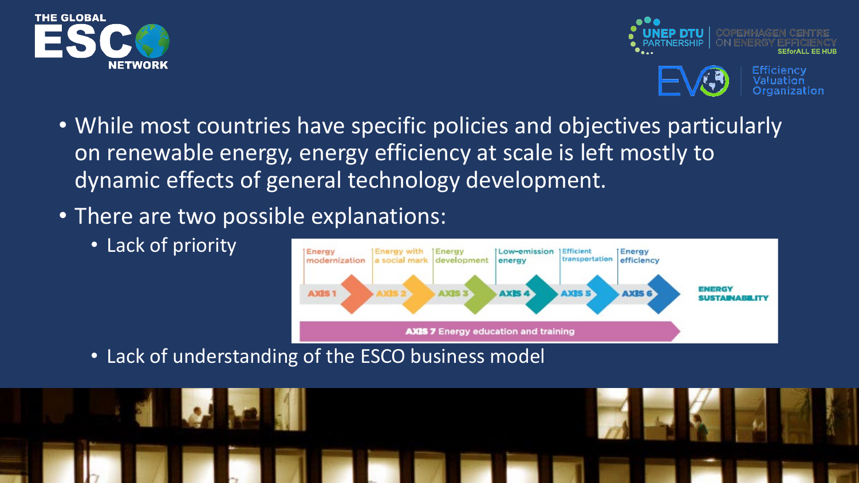![](_page_11_Picture_0.jpeg)

![](_page_11_Picture_1.jpeg)

- While most countries have specific policies and objectives particularly on renewable energy, energy efficiency at scale is left mostly to dynamic effects of general technology development.
- There are two possible explanations:
	- Lack of priority

![](_page_11_Figure_5.jpeg)

• Lack of understanding of the ESCO business model

![](_page_11_Picture_7.jpeg)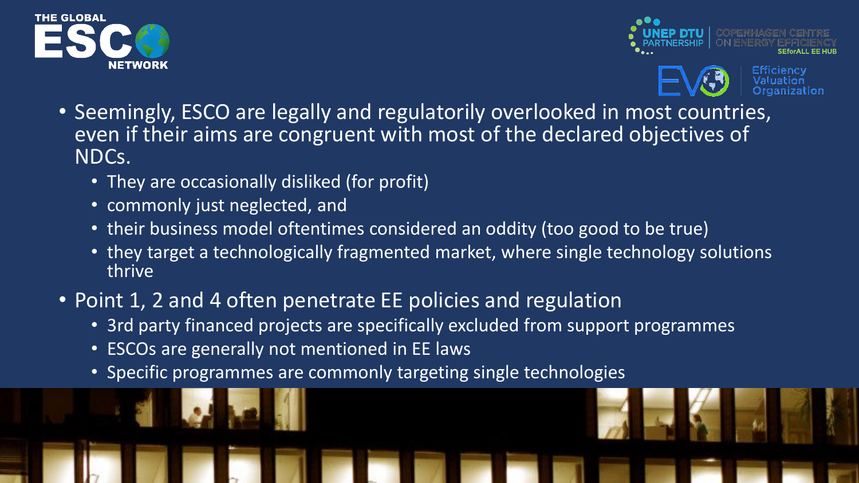![](_page_12_Picture_0.jpeg)

![](_page_12_Picture_1.jpeg)

![](_page_12_Picture_2.jpeg)

- Seemingly, ESCO are legally and regulatorily overlooked in most countries, even if their aims are congruent with most of the declared objectives of NDCs.
	- They are occasionally disliked (for profit)
	- commonly just neglected, and
	- their business model oftentimes considered an oddity (too good to be true)
	- they target a technologically fragmented market, where single technology solutions thrive
- Point 1, 2 and 4 often penetrate EE policies and regulation
	- 3rd party financed projects are specifically excluded from support programmes
	- ESCOs are generally not mentioned in EE laws
	- Specific programmes are commonly targeting single technologies

![](_page_12_Picture_12.jpeg)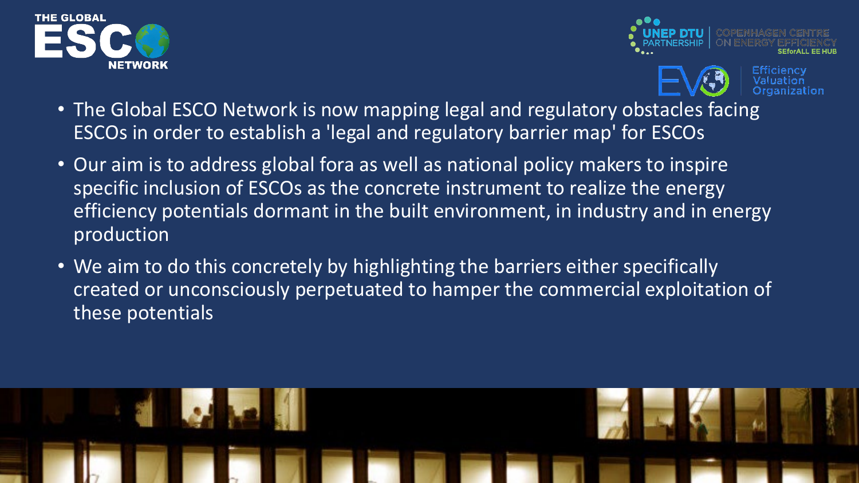![](_page_13_Picture_0.jpeg)

![](_page_13_Picture_1.jpeg)

![](_page_13_Picture_2.jpeg)

- The Global ESCO Network is now mapping legal and regulatory obstacles facing ESCOs in order to establish a 'legal and regulatory barrier map' for ESCOs
- Our aim is to address global fora as well as national policy makers to inspire specific inclusion of ESCOs as the concrete instrument to realize the energy efficiency potentials dormant in the built environment, in industry and in energy production
- We aim to do this concretely by highlighting the barriers either specifically created or unconsciously perpetuated to hamper the commercial exploitation of these potentials

![](_page_13_Picture_6.jpeg)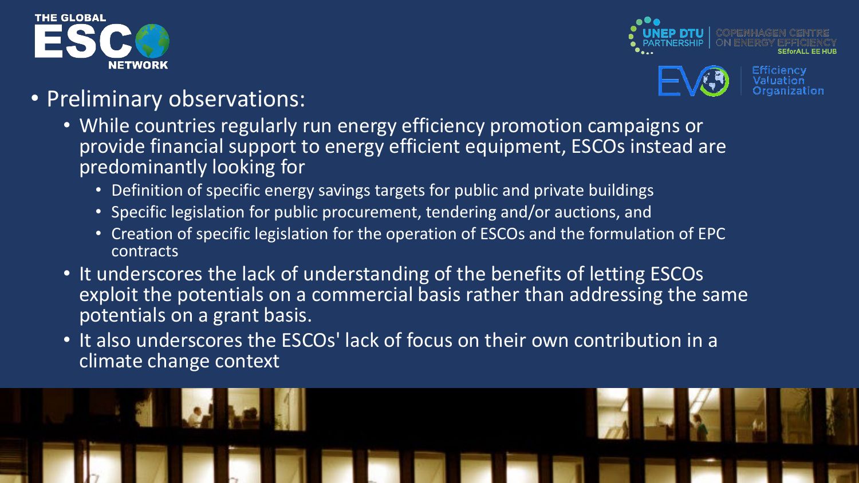![](_page_14_Picture_0.jpeg)

![](_page_14_Picture_1.jpeg)

)rganization

#### • Preliminary observations:

- While countries regularly run energy efficiency promotion campaigns or provide financial support to energy efficient equipment, ESCOs instead are predominantly looking for
	- Definition of specific energy savings targets for public and private buildings
	- Specific legislation for public procurement, tendering and/or auctions, and
	- Creation of specific legislation for the operation of ESCOs and the formulation of EPC contracts
- It underscores the lack of understanding of the benefits of letting ESCOs exploit the potentials on a commercial basis rather than addressing the same potentials on a grant basis.
- It also underscores the ESCOs' lack of focus on their own contribution in a climate change context

![](_page_14_Picture_9.jpeg)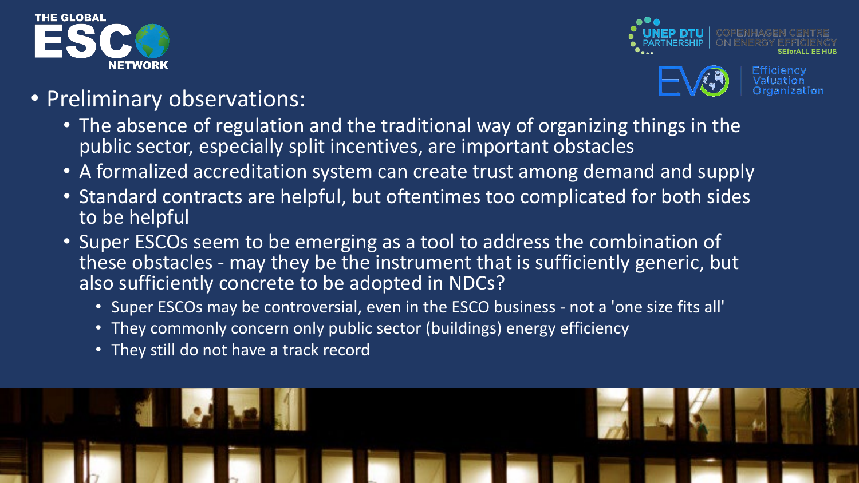![](_page_15_Picture_0.jpeg)

![](_page_15_Picture_1.jpeg)

)rganization

#### • Preliminary observations:

- The absence of regulation and the traditional way of organizing things in the public sector, especially split incentives, are important obstacles
- A formalized accreditation system can create trust among demand and supply
- Standard contracts are helpful, but oftentimes too complicated for both sides to be helpful
- Super ESCOs seem to be emerging as a tool to address the combination of these obstacles - may they be the instrument that is sufficiently generic, but also sufficiently concrete to be adopted in NDCs?
	- Super ESCOs may be controversial, even in the ESCO business not a 'one size fits all'
	- They commonly concern only public sector (buildings) energy efficiency
	- They still do not have a track record

![](_page_15_Picture_10.jpeg)